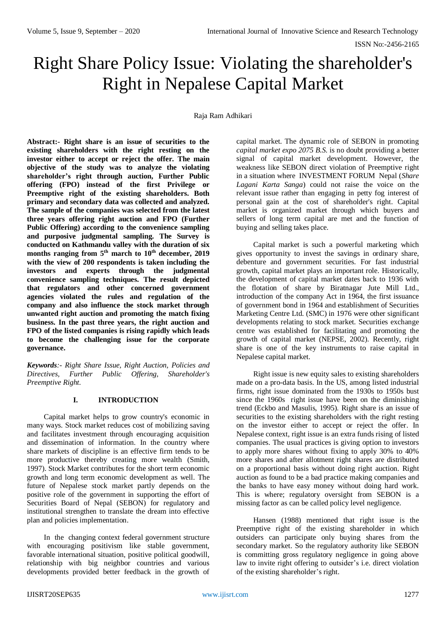# Right Share Policy Issue: Violating the shareholder's Right in Nepalese Capital Market

Raja Ram Adhikari

**Abstract:- Right share is an issue of securities to the existing shareholders with the right resting on the investor either to accept or reject the offer. The main objective of the study was to analyze the violating shareholder's right through auction, Further Public offering (FPO) instead of the first Privilege or Preemptive right of the existing shareholders. Both primary and secondary data was collected and analyzed. The sample of the companies was selected from the latest three years offering right auction and FPO (Further Public Offering) according to the convenience sampling and purposive judgmental sampling. The Survey is conducted on Kathmandu valley with the duration of six months ranging from 5 th march to 10th december, 2019 with the view of 200 respondents is taken including the investors and experts through the judgmental convenience sampling techniques. The result depicted that regulators and other concerned government agencies violated the rules and regulation of the company and also influence the stock market through unwanted right auction and promoting the match fixing business. In the past three years, the right auction and FPO of the listed companies is rising rapidly which leads to become the challenging issue for the corporate governance.**

*Keywords:- Right Share Issue, Right Auction, Policies and Directives, Further Public Offering, Shareholder's Preemptive Right.*

## **I. INTRODUCTION**

Capital market helps to grow country's economic in many ways. Stock market reduces cost of mobilizing saving and facilitates investment through encouraging acquisition and dissemination of information. In the country where share markets of discipline is an effective firm tends to be more productive thereby creating more wealth (Smith, 1997). Stock Market contributes for the short term economic growth and long term economic development as well. The future of Nepalese stock market partly depends on the positive role of the government in supporting the effort of Securities Board of Nepal (SEBON) for regulatory and institutional strengthen to translate the dream into effective plan and policies implementation.

In the changing context federal government structure with encouraging positivism like stable government, favorable international situation, positive political goodwill, relationship with big neighbor countries and various developments provided better feedback in the growth of capital market. The dynamic role of SEBON in promoting *capital market expo 2075 B.S*. is no doubt providing a better signal of capital market development. However, the weakness like SEBON direct violation of Preemptive right in a situation where INVESTMENT FORUM Nepal (*Share Lagani Karta Sanga*) could not raise the voice on the relevant issue rather than engaging in petty fog interest of personal gain at the cost of shareholder's right. Capital market is organized market through which buyers and sellers of long term capital are met and the function of buying and selling takes place.

Capital market is such a powerful marketing which gives opportunity to invest the savings in ordinary share, debenture and government securities. For fast industrial growth, capital market plays an important role. Historically, the development of capital market dates back to 1936 with the flotation of share by Biratnagar Jute Mill Ltd., introduction of the company Act in 1964, the first issuance of government bond in 1964 and establishment of Securities Marketing Centre Ltd. (SMC) in 1976 were other significant developments relating to stock market. Securities exchange centre was established for facilitating and promoting the growth of capital market (NEPSE, 2002). Recently, right share is one of the key instruments to raise capital in Nepalese capital market.

Right issue is new equity sales to existing shareholders made on a pro-data basis. In the US, among listed industrial firms, right issue dominated from the 1930s to 1950s bust since the 1960s right issue have been on the diminishing trend (Eckbo and Masulis, 1995). Right share is an issue of securities to the existing shareholders with the right resting on the investor either to accept or reject the offer. In Nepalese context, right issue is an extra funds rising of listed companies. The usual practices is giving option to investors to apply more shares without fixing to apply 30% to 40% more shares and after allotment right shares are distributed on a proportional basis without doing right auction. Right auction as found to be a bad practice making companies and the banks to have easy money without doing hard work. This is where; regulatory oversight from SEBON is a missing factor as can be called policy level negligence.

Hansen (1988) mentioned that right issue is the Preemptive right of the existing shareholder in which outsiders can participate only buying shares from the secondary market. So the regulatory authority like SEBON is committing gross regulatory negligence in going above law to invite right offering to outsider's i.e. direct violation of the existing shareholder's right.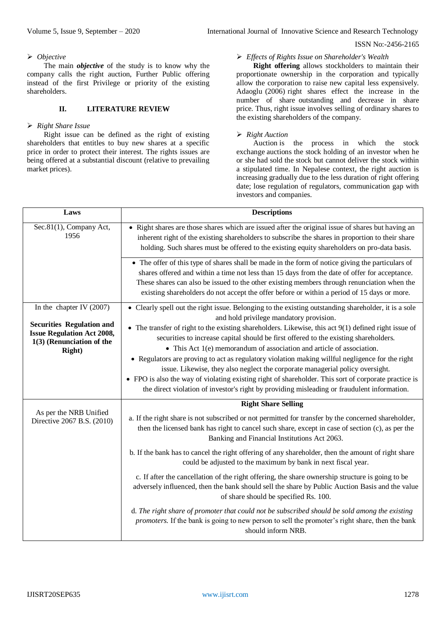#### ISSN No:-2456-2165

#### *Objective*

The main *objective* of the study is to know why the company calls the right auction, Further Public offering instead of the first Privilege or priority of the existing shareholders.

#### **II. LITERATURE REVIEW**

#### *Right Share Issue*

Right issue can be defined as the right of existing shareholders that entitles to buy new shares at a specific price in order to protect their interest. The rights issues are being offered at a substantial discount (relative to prevailing market prices).

## *Effects of Rights Issue on Shareholder's Wealth*

**Right offering** allows stockholders to maintain their proportionate ownership in the corporation and typically allow the corporation to raise new capital less expensively. Adaoglu (2006) right shares effect the increase in the number of share outstanding and decrease in share price. Thus, right issue involves selling of ordinary shares to the existing shareholders of the company.

## *Right Auction*

Auction is the process in which the stock exchange auctions the stock holding of an investor when he or she had sold the stock but cannot deliver the stock within a stipulated time. In Nepalese context, the right auction is increasing gradually due to the less duration of right offering date; lose regulation of regulators, communication gap with investors and companies.

| Laws                                                                                                                 | <b>Descriptions</b>                                                                                                                                                                                                                                                                                                                                                                                                                                                                                                                                                                                                                                                |
|----------------------------------------------------------------------------------------------------------------------|--------------------------------------------------------------------------------------------------------------------------------------------------------------------------------------------------------------------------------------------------------------------------------------------------------------------------------------------------------------------------------------------------------------------------------------------------------------------------------------------------------------------------------------------------------------------------------------------------------------------------------------------------------------------|
| Sec.81(1), Company Act,<br>1956                                                                                      | • Right shares are those shares which are issued after the original issue of shares but having an<br>inherent right of the existing shareholders to subscribe the shares in proportion to their share<br>holding. Such shares must be offered to the existing equity shareholders on pro-data basis.                                                                                                                                                                                                                                                                                                                                                               |
|                                                                                                                      | • The offer of this type of shares shall be made in the form of notice giving the particulars of<br>shares offered and within a time not less than 15 days from the date of offer for acceptance.<br>These shares can also be issued to the other existing members through renunciation when the<br>existing shareholders do not accept the offer before or within a period of 15 days or more.                                                                                                                                                                                                                                                                    |
| In the chapter IV $(2007)$                                                                                           | • Clearly spell out the right issue. Belonging to the existing outstanding shareholder, it is a sole<br>and hold privilege mandatory provision.                                                                                                                                                                                                                                                                                                                                                                                                                                                                                                                    |
| <b>Securities Regulation and</b><br><b>Issue Regulation Act 2008,</b><br>1(3) (Renunciation of the<br><b>Right</b> ) | • The transfer of right to the existing shareholders. Likewise, this act $9(1)$ defined right issue of<br>securities to increase capital should be first offered to the existing shareholders.<br>• This Act 1(e) memorandum of association and article of association.<br>• Regulators are proving to act as regulatory violation making willful negligence for the right<br>issue. Likewise, they also neglect the corporate managerial policy oversight.<br>• FPO is also the way of violating existing right of shareholder. This sort of corporate practice is<br>the direct violation of investor's right by providing misleading or fraudulent information. |
|                                                                                                                      | <b>Right Share Selling</b>                                                                                                                                                                                                                                                                                                                                                                                                                                                                                                                                                                                                                                         |
| As per the NRB Unified<br>Directive 2067 B.S. (2010)                                                                 | a. If the right share is not subscribed or not permitted for transfer by the concerned shareholder,<br>then the licensed bank has right to cancel such share, except in case of section (c), as per the<br>Banking and Financial Institutions Act 2063.                                                                                                                                                                                                                                                                                                                                                                                                            |
|                                                                                                                      | b. If the bank has to cancel the right offering of any shareholder, then the amount of right share<br>could be adjusted to the maximum by bank in next fiscal year.                                                                                                                                                                                                                                                                                                                                                                                                                                                                                                |
|                                                                                                                      | c. If after the cancellation of the right offering, the share ownership structure is going to be<br>adversely influenced, then the bank should sell the share by Public Auction Basis and the value<br>of share should be specified Rs. 100.                                                                                                                                                                                                                                                                                                                                                                                                                       |
|                                                                                                                      | d. The right share of promoter that could not be subscribed should be sold among the existing<br>promoters. If the bank is going to new person to sell the promoter's right share, then the bank<br>should inform NRB.                                                                                                                                                                                                                                                                                                                                                                                                                                             |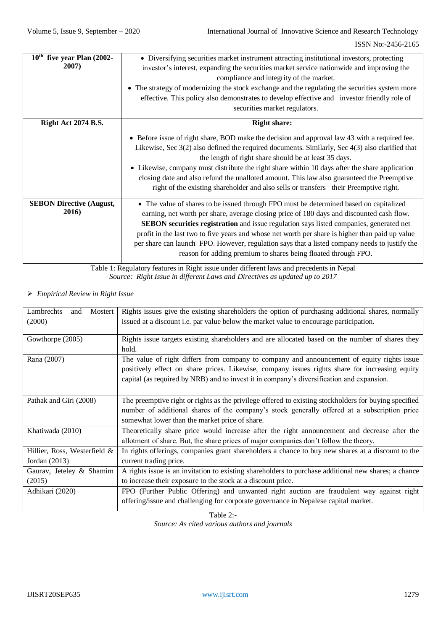| $10th$ five year Plan (2002-<br>2007)    | • Diversifying securities market instrument attracting institutional investors, protecting<br>investor's interest, expanding the securities market service nationwide and improving the<br>compliance and integrity of the market.<br>• The strategy of modernizing the stock exchange and the regulating the securities system more<br>effective. This policy also demonstrates to develop effective and investor friendly role of<br>securities market regulators.                                                                                        |
|------------------------------------------|-------------------------------------------------------------------------------------------------------------------------------------------------------------------------------------------------------------------------------------------------------------------------------------------------------------------------------------------------------------------------------------------------------------------------------------------------------------------------------------------------------------------------------------------------------------|
| <b>Right Act 2074 B.S.</b>               | <b>Right share:</b>                                                                                                                                                                                                                                                                                                                                                                                                                                                                                                                                         |
|                                          | • Before issue of right share, BOD make the decision and approval law 43 with a required fee.<br>Likewise, Sec 3(2) also defined the required documents. Similarly, Sec 4(3) also clarified that<br>the length of right share should be at least 35 days.<br>• Likewise, company must distribute the right share within 10 days after the share application<br>closing date and also refund the unalloted amount. This law also guaranteed the Preemptive<br>right of the existing shareholder and also sells or transfers their Preemptive right.          |
| <b>SEBON Directive (August,</b><br>2016) | • The value of shares to be issued through FPO must be determined based on capitalized<br>earning, net worth per share, average closing price of 180 days and discounted cash flow.<br><b>SEBON</b> securities registration and issue regulation says listed companies, generated net<br>profit in the last two to five years and whose net worth per share is higher than paid up value<br>per share can launch FPO. However, regulation says that a listed company needs to justify the<br>reason for adding premium to shares being floated through FPO. |

Table 1: Regulatory features in Right issue under different laws and precedents in Nepal *Source: Right Issue in different Laws and Directives as updated up to 2017*

*Empirical Review in Right Issue*

| Lambrechts<br>Mostert<br>and<br>(2000)          | Rights issues give the existing shareholders the option of purchasing additional shares, normally<br>issued at a discount <i>i.e.</i> par value below the market value to encourage participation.                                                                                        |
|-------------------------------------------------|-------------------------------------------------------------------------------------------------------------------------------------------------------------------------------------------------------------------------------------------------------------------------------------------|
| Gowthorpe (2005)                                | Rights issue targets existing shareholders and are allocated based on the number of shares they<br>hold.                                                                                                                                                                                  |
| Rana (2007)                                     | The value of right differs from company to company and announcement of equity rights issue<br>positively effect on share prices. Likewise, company issues rights share for increasing equity<br>capital (as required by NRB) and to invest it in company's diversification and expansion. |
| Pathak and Giri (2008)                          | The preemptive right or rights as the privilege offered to existing stockholders for buying specified<br>number of additional shares of the company's stock generally offered at a subscription price<br>somewhat lower than the market price of share.                                   |
| Khatiwada (2010)                                | Theoretically share price would increase after the right announcement and decrease after the<br>allotment of share. But, the share prices of major companies don't follow the theory.                                                                                                     |
| Hillier, Ross, Westerfield &<br>Jordan $(2013)$ | In rights offerings, companies grant shareholders a chance to buy new shares at a discount to the<br>current trading price.                                                                                                                                                               |
| Gaurav, Jeteley & Shamim<br>(2015)              | A rights issue is an invitation to existing shareholders to purchase additional new shares; a chance<br>to increase their exposure to the stock at a discount price.                                                                                                                      |
| Adhikari (2020)                                 | FPO (Further Public Offering) and unwanted right auction are fraudulent way against right<br>offering/issue and challenging for corporate governance in Nepalese capital market.                                                                                                          |

Table 2:- *Source: As cited various authors and journals*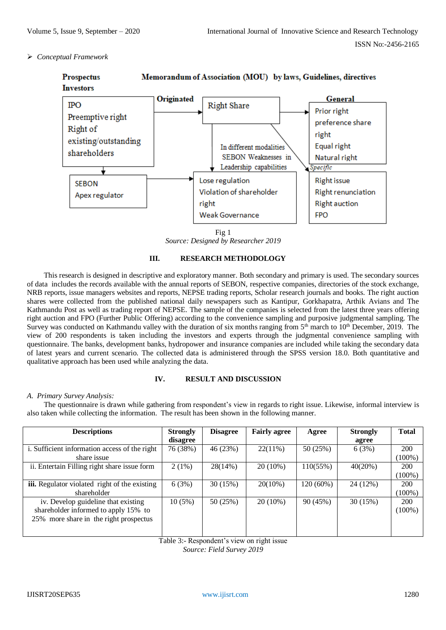# *Conceptual Framework*



*Source: Designed by Researcher 2019*

## **III. RESEARCH METHODOLOGY**

This research is designed in descriptive and exploratory manner. Both secondary and primary is used. The secondary sources of data includes the records available with the annual reports of SEBON, respective companies, directories of the stock exchange, NRB reports, issue managers websites and reports, NEPSE trading reports, Scholar research journals and books. The right auction shares were collected from the published national daily newspapers such as Kantipur, Gorkhapatra, Arthik Avians and The Kathmandu Post as well as trading report of NEPSE. The sample of the companies is selected from the latest three years offering right auction and FPO (Further Public Offering) according to the convenience sampling and purposive judgmental sampling. The Survey was conducted on Kathmandu valley with the duration of six months ranging from 5<sup>th</sup> march to 10<sup>th</sup> December, 2019. The view of 200 respondents is taken including the investors and experts through the judgmental convenience sampling with questionnaire. The banks, development banks, hydropower and insurance companies are included while taking the secondary data of latest years and current scenario. The collected data is administered through the SPSS version 18.0. Both quantitative and qualitative approach has been used while analyzing the data.

## **IV. RESULT AND DISCUSSION**

## *A. Primary Survey Analysis:*

The questionnaire is drawn while gathering from respondent's view in regards to right issue. Likewise, informal interview is also taken while collecting the information. The result has been shown in the following manner.

| <b>Descriptions</b>                                  | <b>Strongly</b> | <b>Disagree</b> | <b>Fairly agree</b> | Agree       | <b>Strongly</b> | <b>Total</b> |
|------------------------------------------------------|-----------------|-----------------|---------------------|-------------|-----------------|--------------|
|                                                      | disagree        |                 |                     |             | agree           |              |
| i. Sufficient information access of the right        | 76 (38%)        | 46 (23%)        | $22(11\%)$          | 50 (25%)    | 6(3%)           | 200          |
| share issue                                          |                 |                 |                     |             |                 | $(100\%)$    |
| ii. Entertain Filling right share issue form         | $2(1\%)$        | 28(14%)         | $20(10\%)$          | 110(55%)    | 40(20%)         | 200          |
|                                                      |                 |                 |                     |             |                 | $(100\%)$    |
| <b>iii.</b> Regulator violated right of the existing | 6(3%)           | 30(15%)         | $20(10\%)$          | $120(60\%)$ | 24 (12%)        | 200          |
| shareholder                                          |                 |                 |                     |             |                 | $(100\%)$    |
| iv. Develop guideline that existing                  | $10(5\%)$       | 50 (25%)        | $20(10\%)$          | 90(45%)     | 30(15%)         | 200          |
| shareholder informed to apply 15% to                 |                 |                 |                     |             |                 | $(100\%)$    |
| 25% more share in the right prospectus               |                 |                 |                     |             |                 |              |
|                                                      |                 |                 |                     |             |                 |              |
|                                                      |                 |                 |                     |             |                 |              |

Table 3:- Respondent's view on right issue

*Source: Field Survey 2019*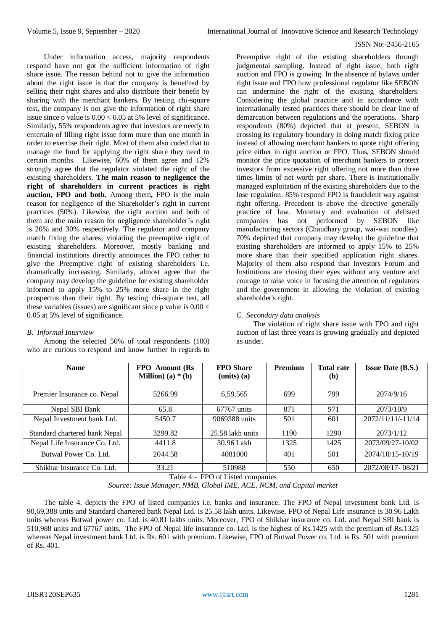#### ISSN No:-2456-2165

Under information access, majority respondents respond have not got the sufficient information of right share issue. The reason behind not to give the information about the right issue is that the company is benefited by selling their right shares and also distribute their benefit by sharing with the merchant bankers. By testing chi-square test, the company is not give the information of right share issue since p value is  $0.00 < 0.05$  at 5% level of significance. Similarly**,** 55% respondents agree that investors are needy to entertain of filling right issue form more than one month in order to exercise their right. Most of them also coded that to manage the fund for applying the right share they need to certain months. Likewise, 60% of them agree and 12% strongly agree that the regulator violated the right of the existing shareholders. **The main reason to negligence the right of shareholders in current practices is right auction, FPO and both.** Among them**,** FPO is the main reason for negligence of the Shareholder's right in current practices (50%). Likewise, the right auction and both of them are the main reason for negligence shareholder's right is 20% and 30% respectively. The regulator and company match fixing the shares; violating the preemptive right of existing shareholders. Moreover, mostly banking and financial institutions directly announces the FPO rather to give the Preemptive right of existing shareholders i.e. dramatically increasing. Similarly, almost agree that the company may develop the guideline for existing shareholder informed to apply 15% to 25% more share in the right prospectus than their right. By testing chi-square test, all these variables (issues) are significant since p value is  $0.00 <$ 0.05 at 5% level of significance.

# *B. Informal Interview*

Among the selected 50% of total respondents (100) who are curious to respond and know further in regards to

Preemptive right of the existing shareholders through judgmental sampling. Instead of right issue, both right auction and FPO is growing. In the absence of bylaws under right issue and FPO how professional regulator like SEBON can undermine the right of the existing shareholders. Considering the global practice and in accordance with internationally tested practices there should be clear line of demarcation between regulations and the operations. Sharp respondents (80%) depicted that at present, SEBON is crossing its regulatory boundary in doing match fixing price instead of allowing merchant bankers to quote right offering price either in right auction or FPO. Thus, SEBON should monitor the price quotation of merchant bankers to protect investors from excessive right offering not more than three times limits of net worth per share. There is institutionally managed exploitation of the existing shareholders due to the lose regulation. 85% respond FPO is fraudulent way against right offering. Precedent is above the directive generally practice of law. Monetary and evaluation of delisted companies has not performed by SEBON like manufacturing sectors (Chaudhary group, wai-wai noodles). 70% depicted that company may develop the guideline that existing shareholders are informed to apply 15% to 25% more share than their specified application right shares. Majority of them also respond that Investors Forum and Institutions are closing their eyes without any venture and courage to raise voice in focusing the attention of regulators and the government in allowing the violation of existing shareholder's right.

# *C. Secondary data analysis*

The violation of right share issue with FPO and right auction of last three years is growing gradually and depicted as under.

| <b>Name</b>                   | <b>FPO</b> Amount (Rs)<br><b>Million</b> ) (a) $*(b)$ | <b>FPO</b> Share<br>$(units)$ $(a)$                    | <b>Premium</b> | <b>Total rate</b><br>( <b>b</b> ) | <b>Issue Date (B.S.)</b> |
|-------------------------------|-------------------------------------------------------|--------------------------------------------------------|----------------|-----------------------------------|--------------------------|
| Premier Insurance co. Nepal   | 5266.99                                               | 6,59,565                                               | 699            | 799                               | 2074/9/16                |
| Nepal SBI Bank                | 65.8                                                  | $67767$ units                                          | 871            | 971                               | 2073/10/9                |
| Nepal Investment bank Ltd.    | 5450.7                                                | 9069388 units                                          | 501            | 601                               | 2072/11/11/-11/14        |
| Standard chartered bank Nepal | 3299.82                                               | 25.58 lakh units                                       | 1190           | 1290                              | 2073/1/12                |
| Nepal Life Insurance Co. Ltd. | 4411.8                                                | 30.96 Lakh                                             | 1325           | 1425                              | 2073/09/27-10/02         |
| Butwal Power Co. Ltd.         | 2044.58                                               | 4081000                                                | 401            | 501                               | 2074/10/15-10/19         |
| Shikhar Insurance Co. Ltd.    | 33.21<br>---                                          | 510988<br>$\blacksquare$<br>$\alpha$ $\cdots$ $\alpha$ | 550            | 650                               | 2072/08/17-08/21         |

Table 4:- FPO of Listed companies

*Source: Issue Manager, NMB, Global IME, ACE, NCM, and Capital market*

The table 4. depicts the FPO of listed companies i.e. banks and insurance. The FPO of Nepal investment bank Ltd. is 90,69,388 units and Standard chartered bank Nepal Ltd. is 25.58 lakh units. Likewise, FPO of Nepal Life insurance is 30.96 Lakh units whereas Butwal power co. Ltd. is 40.81 lakhs units. Moreover, FPO of Shikhar insurance co. Ltd. and Nepal SBI bank is 510,988 units and 67767 units. The FPO of Nepal life insurance co. Ltd. is the highest of Rs.1425 with the premium of Rs.1325 whereas Nepal investment bank Ltd. is Rs. 601 with premium. Likewise, FPO of Butwal Power co. Ltd. is Rs. 501 with premium of Rs. 401.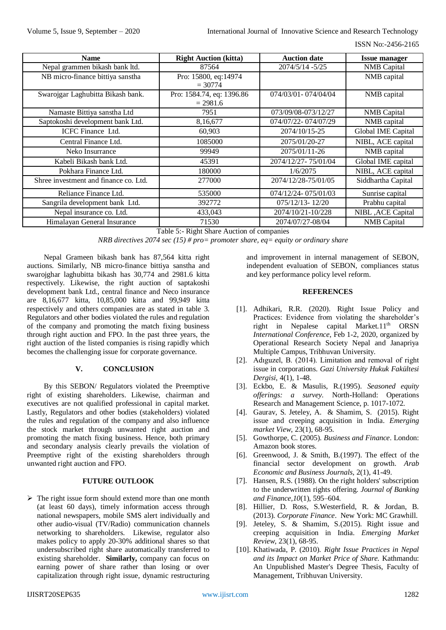ISSN No:-2456-2165

| <b>Name</b>                           | <b>Right Auction (kitta)</b> | <b>Auction date</b>   | <b>Issue manager</b> |
|---------------------------------------|------------------------------|-----------------------|----------------------|
| Nepal grammen bikash bank ltd.        | 87564                        | 2074/5/14 - 5/25      | <b>NMB</b> Capital   |
| NB micro-finance bittiya sanstha      | Pro: 15800, eq:14974         |                       | NMB capital          |
|                                       | $= 30774$                    |                       |                      |
| Swarojgar Laghubitta Bikash bank.     | Pro: 1584.74, eq: 1396.86    | 074/03/01 - 074/04/04 | NMB capital          |
|                                       | $= 2981.6$                   |                       |                      |
| Namaste Bittiya sanstha Ltd           | 7951                         | 073/09/08-073/12/27   | <b>NMB</b> Capital   |
| Saptokoshi development bank Ltd.      | 8,16,677                     | 074/07/22-074/07/29   | NMB capital          |
| ICFC Finance Ltd.                     | 60,903                       | 2074/10/15-25         | Global IME Capital   |
| Central Finance Ltd.                  | 1085000                      | 2075/01/20-27         | NIBL, ACE capital    |
| Neko Insurrance                       | 99949                        | 2075/01/11-26         | NMB capital          |
| Kabeli Bikash bank Ltd.               | 45391                        | 2074/12/27-75/01/04   | Global IME capital   |
| Pokhara Finance Ltd.                  | 180000                       | 1/6/2075              | NIBL, ACE capital    |
| Shree investment and finance co. Ltd. | 277000                       | 2074/12/28-75/01/05   | Siddhartha Capital   |
| Reliance Finance Ltd.                 | 535000                       | 074/12/24-075/01/03   | Sunrise capital      |
| Sangrila development bank Ltd.        | 392772                       | $075/12/13 - 12/20$   | Prabhu capital       |
| Nepal insurance co. Ltd.              | 433,043                      | 2074/10/21-10/228     | NIBL , ACE Capital   |
| Himalayan General Insurance           | 71530                        | 2074/07/27-08/04      | <b>NMB</b> Capital   |

Table 5:- Right Share Auction of companies

*NRB directives 2074 sec (15) # pro= promoter share, eq= equity or ordinary share*

Nepal Grameen bikash bank has 87,564 kitta right auctions. Similarly, NB micro-finance bittiya sanstha and swarojghar laghubitta bikash has 30,774 and 2981.6 kitta respectively. Likewise, the right auction of saptakoshi development bank Ltd., central finance and Neco insurance are 8,16,677 kitta, 10,85,000 kitta and 99,949 kitta respectively and others companies are as stated in table 3. Regulators and other bodies violated the rules and regulation of the company and promoting the match fixing business through right auction and FPO. In the past three years, the right auction of the listed companies is rising rapidly which becomes the challenging issue for corporate governance.

# **V. CONCLUSION**

By this SEBON/ Regulators violated the Preemptive right of existing shareholders. Likewise, chairman and executives are not qualified professional in capital market. Lastly, Regulators and other bodies (stakeholders) violated the rules and regulation of the company and also influence the stock market through unwanted right auction and promoting the match fixing business. Hence, both primary and secondary analysis clearly prevails the violation of Preemptive right of the existing shareholders through unwanted right auction and FPO.

## **FUTURE OUTLOOK**

 $\triangleright$  The right issue form should extend more than one month (at least 60 days), timely information access through national newspapers, mobile SMS alert individually and other audio-visual (TV/Radio) communication channels networking to shareholders. Likewise, regulator also makes policy to apply 20-30% additional shares so that undersubscribed right share automatically transferred to existing shareholder. **Similarly,** company can focus on earning power of share rather than losing or over capitalization through right issue, dynamic restructuring

and improvement in internal management of SEBON, independent evaluation of SEBON, compliances status and key performance policy level reform.

## **REFERENCES**

- [1]. Adhikari, R.R. (2020). Right Issue Policy and Practices: Evidence from violating the shareholder's right in Nepalese capital Market.11<sup>th</sup> ORSN *International Conference*, Feb 1-2, 2020, organized by Operational Research Society Nepal and Janapriya Multiple Campus, Tribhuvan University.
- [2]. Adıguzel, B. (2014). Limitation and removal of right issue in corporations. *Gazi University Hukuk Fakültesi Dergisi*, 4(1), 1-48.
- [3]. Eckbo, E. & Masulis, R.(1995). *Seasoned equity offerings: a survey.* North-Holland: Operations Research and Management Science, p. 1017-1072.
- [4]. Gaurav, S. Jeteley, A. & Shamim, S. (2015). Right issue and creeping acquisition in India. *Emerging market View*, 23(1), 68-95.
- [5]. Gowthorpe, C. (2005). *Business and Finance*. London: Amazon book stores.
- [6]. Greenwood, J. & Smith, B.(1997). The effect of the financial sector development on growth. *Arab Economic and Business Journals*, 2(1), 41-49.
- [7]. Hansen, R.S. (1988). On the right holders' subscription to the underwritten rights offering. *Journal of Banking and Finance,10*(1), 595–604.
- [8]. Hillier, D. Ross, S.Westerfield, R. & Jordan, B. (2013). *Corporate Finance*. New York: MC Grawhill.
- [9]. Jeteley, S. & Shamim, S.(2015). Right issue and creeping acquisition in India. *Emerging Market Review*, 23(1), 68-95.
- [10]. Khatiwada, P. (2010). *Right Issue Practices in Nepal and its Impact on Market Price of Share.* Kathmandu: An Unpublished Master's Degree Thesis, Faculty of Management, Tribhuvan University.